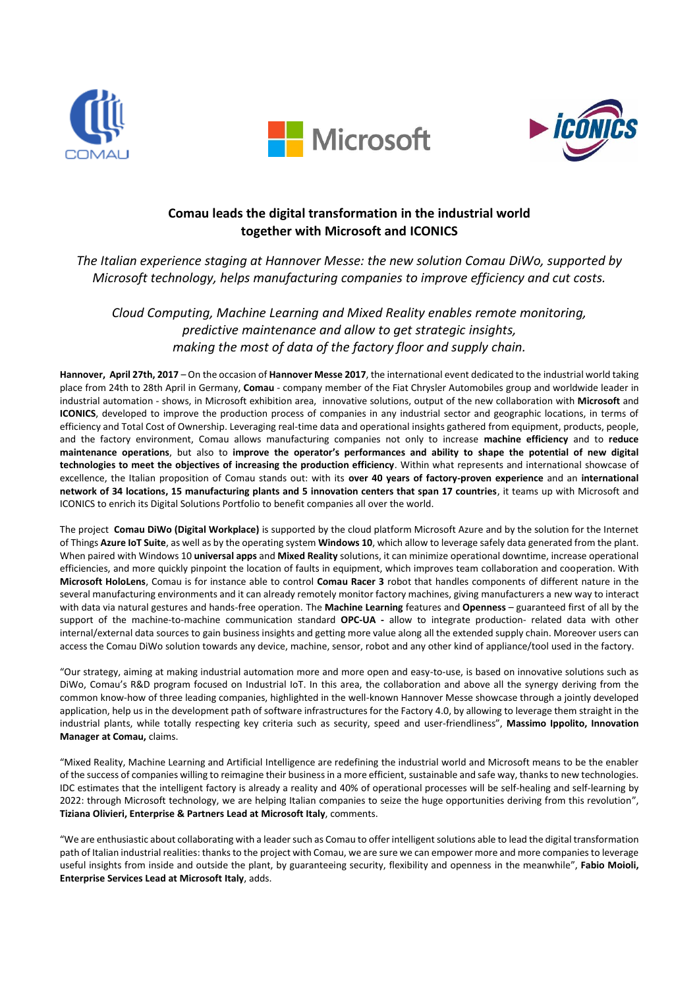





# **Comau leads the digital transformation in the industrial world together with Microsoft and ICONICS**

*The Italian experience staging at Hannover Messe: the new solution Comau DiWo, supported by Microsoft technology, helps manufacturing companies to improve efficiency and cut costs.*

*Cloud Computing, Machine Learning and Mixed Reality enables remote monitoring, predictive maintenance and allow to get strategic insights, making the most of data of the factory floor and supply chain.*

**Hannover, April 27th, 2017** – On the occasion of **Hannover Messe 2017**, the international event dedicated to the industrial world taking place from 24th to 28th April in Germany, **Comau** - company member of the Fiat Chrysler Automobiles group and worldwide leader in industrial automation - shows, in Microsoft exhibition area, innovative solutions, output of the new collaboration with **Microsoft** and **ICONICS**, developed to improve the production process of companies in any industrial sector and geographic locations, in terms of efficiency and Total Cost of Ownership. Leveraging real-time data and operational insights gathered from equipment, products, people, and the factory environment, Comau allows manufacturing companies not only to increase **machine efficiency** and to **reduce maintenance operations**, but also to **improve the operator's performances and ability to shape the potential of new digital technologies to meet the objectives of increasing the production efficiency**. Within what represents and international showcase of excellence, the Italian proposition of Comau stands out: with its **over 40 years of factory-proven experience** and an **international network of 34 locations, 15 manufacturing plants and 5 innovation centers that span 17 countries**, it teams up with Microsoft and ICONICS to enrich its Digital Solutions Portfolio to benefit companies all over the world.

The project **Comau DiWo (Digital Workplace)** is supported by the cloud platform Microsoft Azure and by the solution for the Internet of Things **Azure IoT Suite**, as well as by the operating system **Windows 10**, which allow to leverage safely data generated from the plant. When paired with Windows 10 **universal apps** and **Mixed Reality** solutions, it can minimize operational downtime, increase operational efficiencies, and more quickly pinpoint the location of faults in equipment, which improves team collaboration and cooperation. With **Microsoft HoloLens**, Comau is for instance able to control **Comau Racer 3** robot that handles components of different nature in the several manufacturing environments and it can already remotely monitor factory machines, giving manufacturers a new way to interact with data via natural gestures and hands-free operation. The **Machine Learning** features and **Openness** – guaranteed first of all by the support of the machine-to-machine communication standard **OPC-UA -** allow to integrate production- related data with other internal/external data sources to gain business insights and getting more value along all the extended supply chain. Moreover users can access the Comau DiWo solution towards any device, machine, sensor, robot and any other kind of appliance/tool used in the factory.

"Our strategy, aiming at making industrial automation more and more open and easy-to-use, is based on innovative solutions such as DiWo, Comau's R&D program focused on Industrial IoT. In this area, the collaboration and above all the synergy deriving from the common know-how of three leading companies, highlighted in the well-known Hannover Messe showcase through a jointly developed application, help us in the development path of software infrastructures for the Factory 4.0, by allowing to leverage them straight in the industrial plants, while totally respecting key criteria such as security, speed and user-friendliness", **Massimo Ippolito, Innovation Manager at Comau,** claims.

"Mixed Reality, Machine Learning and Artificial Intelligence are redefining the industrial world and Microsoft means to be the enabler of the success of companies willing to reimagine their business in a more efficient, sustainable and safe way, thanks to new technologies. IDC estimates that the intelligent factory is already a reality and 40% of operational processes will be self-healing and self-learning by 2022: through Microsoft technology, we are helping Italian companies to seize the huge opportunities deriving from this revolution", **Tiziana Olivieri, Enterprise & Partners Lead at Microsoft Italy**, comments.

"We are enthusiastic about collaborating with a leader such as Comau to offer intelligent solutions able to lead the digital transformation path of Italian industrial realities: thanks to the project with Comau, we are sure we can empower more and more companies to leverage useful insights from inside and outside the plant, by guaranteeing security, flexibility and openness in the meanwhile", **Fabio Moioli, Enterprise Services Lead at Microsoft Italy**, adds.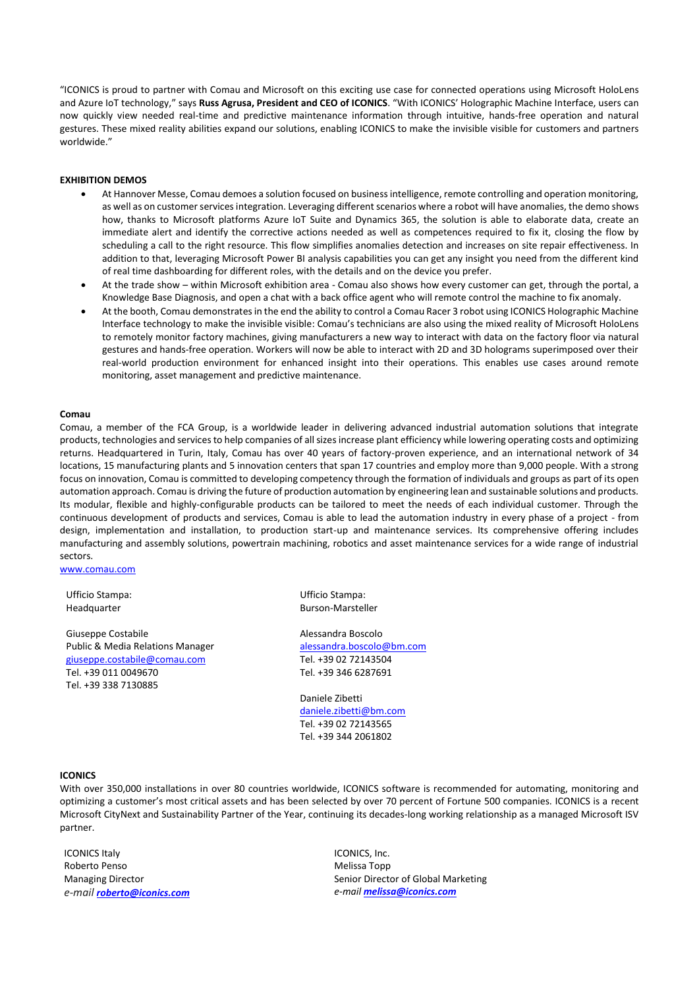"ICONICS is proud to partner with Comau and Microsoft on this exciting use case for connected operations using Microsoft HoloLens and Azure IoT technology," says **Russ Agrusa, President and CEO of ICONICS**. "With ICONICS' Holographic Machine Interface, users can now quickly view needed real-time and predictive maintenance information through intuitive, hands-free operation and natural gestures. These mixed reality abilities expand our solutions, enabling ICONICS to make the invisible visible for customers and partners worldwide."

### **EXHIBITION DEMOS**

- At Hannover Messe, Comau demoes a solution focused on business intelligence, remote controlling and operation monitoring, as well as on customer services integration. Leveraging different scenarios where a robot will have anomalies, the demo shows how, thanks to Microsoft platforms Azure IoT Suite and Dynamics 365, the solution is able to elaborate data, create an immediate alert and identify the corrective actions needed as well as competences required to fix it, closing the flow by scheduling a call to the right resource. This flow simplifies anomalies detection and increases on site repair effectiveness. In addition to that, leveraging Microsoft Power BI analysis capabilities you can get any insight you need from the different kind of real time dashboarding for different roles, with the details and on the device you prefer.
- At the trade show within Microsoft exhibition area Comau also shows how every customer can get, through the portal, a Knowledge Base Diagnosis, and open a chat with a back office agent who will remote control the machine to fix anomaly.
- At the booth, Comau demonstratesin the end the ability to control a Comau Racer 3 robot using ICONICS Holographic Machine Interface technology to make the invisible visible: Comau's technicians are also using the mixed reality of Microsoft HoloLens to remotely monitor factory machines, giving manufacturers a new way to interact with data on the factory floor via natural gestures and hands-free operation. Workers will now be able to interact with 2D and 3D holograms superimposed over their real-world production environment for enhanced insight into their operations. This enables use cases around remote monitoring, asset management and predictive maintenance.

#### **Comau**

Comau, a member of the FCA Group, is a worldwide leader in delivering advanced industrial automation solutions that integrate products, technologies and services to help companies of all sizes increase plant efficiency while lowering operating costs and optimizing returns. Headquartered in Turin, Italy, Comau has over 40 years of factory-proven experience, and an international network of 34 locations, 15 manufacturing plants and 5 innovation centers that span 17 countries and employ more than 9,000 people. With a strong focus on innovation, Comau is committed to developing competency through the formation of individuals and groups as part of its open automation approach. Comau is driving the future of production automation by engineering lean and sustainable solutions and products. Its modular, flexible and highly-configurable products can be tailored to meet the needs of each individual customer. Through the continuous development of products and services, Comau is able to lead the automation industry in every phase of a project - from design, implementation and installation, to production start-up and maintenance services. Its comprehensive offering includes manufacturing and assembly solutions, powertrain machining, robotics and asset maintenance services for a wide range of industrial sectors.

[www.comau.com](http://www.comau.com/)

Ufficio Stampa: Headquarter

Giuseppe Costabile Public & Media Relations Manager [giuseppe.costabile@comau.com](mailto:giuseppe.costabile@comau.com) Tel. +39 011 0049670 Tel. +39 338 7130885

Ufficio Stampa: Burson-Marsteller

Alessandra Boscolo [alessandra.boscolo@bm.com](mailto:alessandra.boscolo@bm.com) Tel. +39 02 72143504 Tel. +39 346 6287691

Daniele Zibetti [daniele.zibetti@bm.com](mailto:daniele.zibetti@bm.com) Tel. +39 02 72143565 Tel. +39 344 2061802

#### **ICONICS**

With over 350,000 installations in over 80 countries worldwide, ICONICS software is recommended for automating, monitoring and optimizing a customer's most critical assets and has been selected by over 70 percent of Fortune 500 companies. ICONICS is a recent Microsoft CityNext and Sustainability Partner of the Year, continuing its decades-long working relationship as a managed Microsoft ISV partner.

ICONICS Italy Roberto Penso Managing Director *e-mail [roberto@iconics.com](mailto:roberto@iconics.com)*

ICONICS, Inc. Melissa Topp Senior Director of Global Marketing *e-mail [melissa@iconics.com](mailto:melissa@iconics.com)*